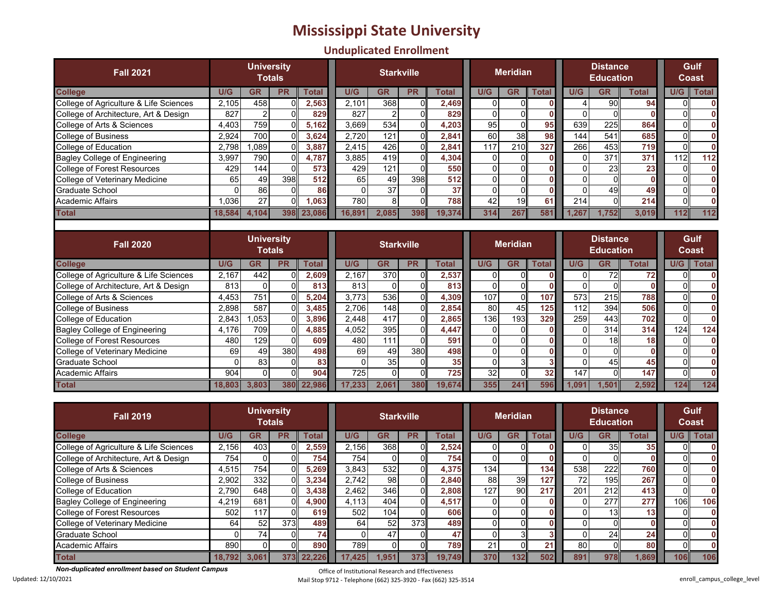## **Mississippi State University**

## **Unduplicated Enrollment**

| <b>Fall 2021</b>                        |                                    | <b>University</b><br><b>Totals</b> |              |              |          | <b>Starkville</b> |              |              | <b>Meridian</b> |                 |              | <b>Distance</b><br><b>Education</b> | Gulf<br>Coast                       |              |     |                 |
|-----------------------------------------|------------------------------------|------------------------------------|--------------|--------------|----------|-------------------|--------------|--------------|-----------------|-----------------|--------------|-------------------------------------|-------------------------------------|--------------|-----|-----------------|
| <b>College</b>                          | U/G                                | <b>GR</b>                          | <b>PR</b>    | <b>Total</b> | U/G      | <b>GR</b>         | <b>PR</b>    | <b>Total</b> | U/G             | <b>GR</b>       | <b>Total</b> | U/G                                 | <b>GR</b>                           | <b>Total</b> | U/G | <b>Total</b>    |
| College of Agriculture & Life Sciences  | 2,105                              | 458                                |              | 2,563        | 2.101    | 368               | $\Omega$     | 2,469        | $\mathbf{0}$    | C               |              | 4                                   | 90                                  | 94           |     |                 |
| College of Architecture, Art & Design   | 827                                | $\overline{2}$                     | n            | 829          | 827      | $\overline{2}$    | $\Omega$     | 829          | $\Omega$        | $\mathsf{C}$    | $\bf{0}$     | $\Omega$                            | $\Omega$                            |              |     |                 |
| College of Arts & Sciences              | 4,403                              | 759                                |              | 5,162        | 3,669    | 534               | $\Omega$     | 4,203        | $\overline{95}$ | $\overline{0}$  | 95           | 639                                 | 225                                 | 864          |     |                 |
| <b>College of Business</b>              | 2,924                              | 700                                |              | 3,624        | 2,720    | 121               | $\Omega$     | 2,841        | 60              | 38              | 98           | 144                                 | 541                                 | 685          |     | $\mathbf{0}$    |
| College of Education                    | 2,798                              | .089                               |              | 3,887        | 2.415    | 426               | $\Omega$     | 2.841        | 117             | 210             | 327          | 266                                 | 453                                 | 719          |     | n               |
| <b>Bagley College of Engineering</b>    | 3,997                              | 790                                |              | 4,787        | 3.885    | 419               | $\Omega$     | 4,304        | 0               | $\sqrt{ }$      | $\mathbf{0}$ | $\Omega$                            | 371                                 | 371          | 112 | 112             |
| College of Forest Resources             | 429                                | 144                                | $\Omega$     | 573          | 429      | 121               | $\Omega$     | 550          | $\Omega$        | $\sqrt{ }$      | $\bf{0}$     | $\Omega$                            | 23                                  | 23           |     | $\mathbf{0}$    |
| College of Veterinary Medicine          | 65                                 | 49                                 | 398          | 512          | 65       | 49                | 398          | 512          | 0               | $\sqrt{ }$      | $\bf{0}$     | $\Omega$                            | O                                   | $\mathbf{0}$ |     |                 |
| <b>Graduate School</b>                  | 0                                  | 86                                 | <sub>0</sub> | 86           | $\Omega$ | $\overline{37}$   | $\Omega$     | 37           | 0               | $\mathsf{C}$    | $\bf{0}$     | $\mathbf{0}$                        | 49                                  | 49           |     | O               |
| Academic Affairs                        | 1.036                              | 27                                 | U            | 1,063        | 780      | 8                 | $\Omega$     | 788          | 42              | 19              | 61           | 214                                 | O                                   | 214          | n   | $\mathbf{0}$    |
| <b>Total</b>                            | 18,584                             | 4,104                              | <b>398</b>   | 23.086       | 16.891   | 2.085             | 398          | 19.374       | 314             | 267             | 581          | 1.267                               | 1.752                               | 3.019        | 112 | 112             |
|                                         | <b>University</b><br><b>Totals</b> |                                    |              |              |          |                   |              |              |                 |                 |              |                                     |                                     |              |     |                 |
| <b>Fall 2020</b>                        |                                    |                                    |              |              |          | <b>Starkville</b> |              |              |                 | <b>Meridian</b> |              |                                     | <b>Distance</b><br><b>Education</b> |              |     | Gulf<br>Coast   |
| <b>College</b>                          | U/G                                | <b>GR</b>                          | <b>PR</b>    | <b>Total</b> | U/G      | <b>GR</b>         | <b>PR</b>    | <b>Total</b> | U/G             | <b>GR</b>       | <b>Total</b> | U/G                                 | <b>GR</b>                           | <b>Total</b> | U/G | <b>Total</b>    |
| College of Agriculture & Life Sciences  | 2,167                              | 442                                |              | 2,609        | 2,167    | 370               | $\Omega$     | 2,537        | 0               | C               |              | $\Omega$                            | 72                                  | 72           |     | O               |
| College of Architecture, Art & Design   | 813                                | $\Omega$                           |              | 813          | 813      | $\mathbf{0}$      | <sup>0</sup> | 813          | $\mathbf 0$     | $\mathsf{C}$    |              | $\Omega$                            | O                                   |              |     |                 |
| College of Arts & Sciences              | 4,453                              | 751                                |              | 5,204        | 3.773    | 536               | $\Omega$     | 4,309        | 107             | $\Omega$        | 107          | 573                                 | 215                                 | 788          |     | $\mathbf{0}$    |
| <b>College of Business</b>              | 2,898                              | 587                                |              | 3,485        | 2.706    | 148               | $\Omega$     | 2,854        | 80              | 45              | 125          | 112                                 | 394                                 | 506          |     |                 |
| College of Education                    | 2,843                              | ,053                               |              | 3,896        | 2,448    | 417               | 0            | 2,865        | 136             | 193             | 329          | 259                                 | 443                                 | 702          | n   | $\Omega$        |
| <b>Bagley College of Engineering</b>    | 4,176                              | 709                                |              | 4,885        | 4,052    | 395               | $\Omega$     | 4,447        | $\mathbf{0}$    | $\sqrt{ }$      |              | $\Omega$                            | 314                                 | 314          | 124 | 124             |
| <b>College of Forest Resources</b>      | 480                                | 129                                | n            | 609          | 480      | 111               | $\Omega$     | 591          | $\Omega$        | $\sqrt{ }$      | $\bf{0}$     | $\Omega$                            | 18                                  | 18           |     | O               |
| College of Veterinary Medicine          | 69                                 | 49                                 | 380          | 498          | 69       | 49                | 380          | 498          | $\Omega$        | $\sqrt{ }$      | 0            | $\mathbf{0}$                        | $\Omega$                            |              |     | O               |
| <b>Graduate School</b>                  | 0                                  | 83                                 | ი            | 83           | $\Omega$ | 35                | ŋ            | 35           | $\mathbf 0$     | З               |              | $\Omega$                            | 45                                  | 45           |     | O               |
| <b>Academic Affairs</b><br><b>Total</b> | 904                                | $\Omega$                           | $\Omega$     | 904          | 725      | $\Omega$          | $\Omega$     | 725          | 32              | $\overline{0}$  | 32<br>596    | 147                                 | $\Omega$                            | 147<br>2,592 | U   | $\Omega$<br>124 |

| <b>Fall 2019</b>                       |        | <b>University</b> | <b>Totals</b> |        |       | <b>Starkville</b> |           |              |     | <b>Meridian</b> |       |     | <b>Distance</b><br><b>Education</b> | Gulf<br>Coast   |     |              |
|----------------------------------------|--------|-------------------|---------------|--------|-------|-------------------|-----------|--------------|-----|-----------------|-------|-----|-------------------------------------|-----------------|-----|--------------|
| <b>College</b>                         | U/G    | GR                | <b>PR</b>     | Total  | U/G   | GR                | <b>PR</b> | <b>Total</b> | U/G | GR              | Total | U/G | GR                                  | Total           | U/G | <b>Total</b> |
| College of Agriculture & Life Sciences | 2,156  | 403               |               | 2,559  | 2.156 | 368               |           | 2,524        |     |                 |       |     | 35 <sup>1</sup>                     | 35 <sub>1</sub> |     |              |
| College of Architecture, Art & Design  | 754.   |                   |               | 754    | 754   |                   |           | 754          |     |                 |       |     |                                     |                 |     |              |
| College of Arts & Sciences             | 4,515  | 754               |               | 5,269  | 3.843 | 532               |           | 4,375        | 134 |                 | 134   | 538 | 222                                 | <b>760</b>      |     |              |
| <b>College of Business</b>             | 2,902  | 332               |               | 3,234  | 2.742 | 98                |           | 2,840        | 88  | 39              | 127   | 72  | 195                                 | <b>267</b>      |     |              |
| College of Education                   | 2,790  | 648               |               | 3,438  | 2.462 | 346               |           | 2,808        | 127 | 90              | 217   | 201 | 212                                 | 413             |     |              |
| <b>Bagley College of Engineering</b>   | 4,219  | 681               |               | 4,900  | 4.113 | 404               |           | 4,517        |     |                 |       |     | 277                                 | 277             | 106 | 106          |
| <b>College of Forest Resources</b>     | 502    | 117               |               | 619    | 502   | 104               |           | 606          |     |                 |       |     | 131                                 | 13 <sup>1</sup> |     |              |
| College of Veterinary Medicine         | 64     | 52                | 373           | 489    | 64    | 52                | 373       | 489I         |     |                 |       |     |                                     | 0.              |     |              |
| Graduate School                        |        | 74                |               | 74     |       | 47                |           | 47           |     |                 |       |     | 24                                  | 24              |     |              |
| Academic Affairs                       | 890    |                   |               | 890    | 789   |                   |           | 789          | 21  |                 | 21    | 80  |                                     | <b>801</b>      |     |              |
| <b>Total</b>                           | 18.792 | 3.061             | 373           | 22.226 | 7.425 | .951              | 373       | 19.749       | 370 | 132             | 502   | 891 | 978                                 | 1.869           | 106 | 106          |

*Non-duplicated enrollment based on Student Campus* Updated: 12/10/2021

Office of Institutional Research and Effectiveness Mail Stop 9712 - Telephone (662) 325-3920 - Fax (662) 325-3514 enroll\_campus\_college\_level